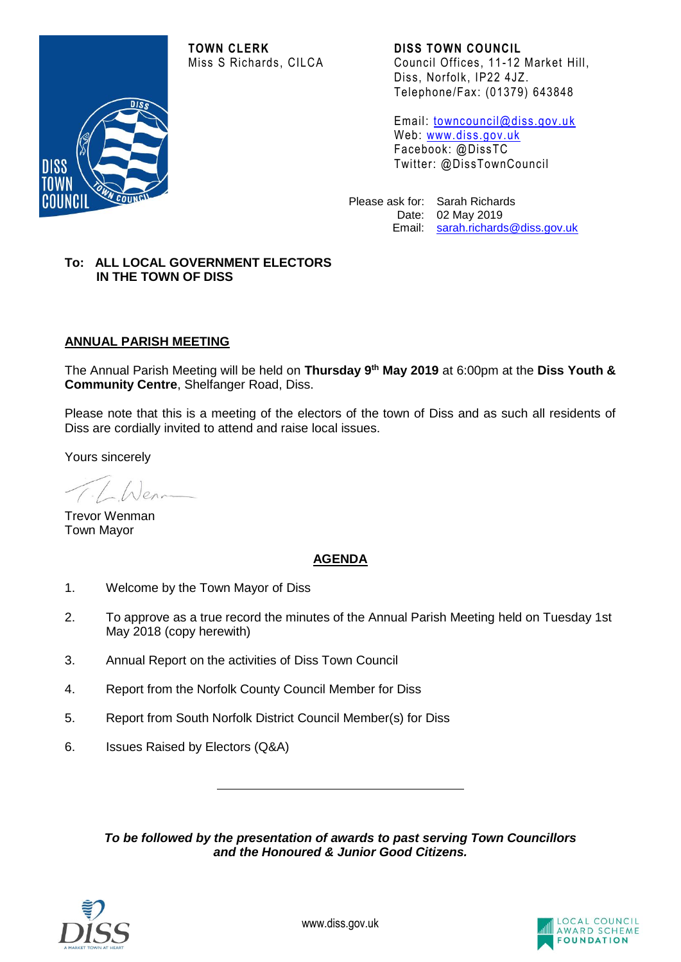**TOWN CLERK DISS TOWN COUNCIL**



Miss S Richards, CILCA Council Offices, 11 -12 Market Hill, Diss, Norfolk, IP22 4JZ. Telephone/Fax: (01379) 643848

> Email: [towncouncil@diss.gov.u](mailto:towncouncil@diss.gov.uk) k Web: [www.diss.gov.uk](http://www.diss.gov.uk/) Facebook: @DissTC Twitter: @DissTownCouncil

Please ask for: Sarah Richards Date: 02 May 2019 Email: [sarah.richards@diss.gov.uk](mailto:sarah.richards@diss.gov.uk)

## **To: ALL LOCAL GOVERNMENT ELECTORS IN THE TOWN OF DISS**

# **ANNUAL PARISH MEETING**

The Annual Parish Meeting will be held on **Thursday 9 th May 2019** at 6:00pm at the **Diss Youth & Community Centre**, Shelfanger Road, Diss.

Please note that this is a meeting of the electors of the town of Diss and as such all residents of Diss are cordially invited to attend and raise local issues.

Yours sincerely

Trevor Wenman Town Mayor

## **AGENDA**

- 1. Welcome by the Town Mayor of Diss
- 2. To approve as a true record the minutes of the Annual Parish Meeting held on Tuesday 1st May 2018 (copy herewith)
- 3. Annual Report on the activities of Diss Town Council
- 4. Report from the Norfolk County Council Member for Diss
- 5. Report from South Norfolk District Council Member(s) for Diss
- 6. Issues Raised by Electors (Q&A)

*To be followed by the presentation of awards to past serving Town Councillors and the Honoured & Junior Good Citizens.*



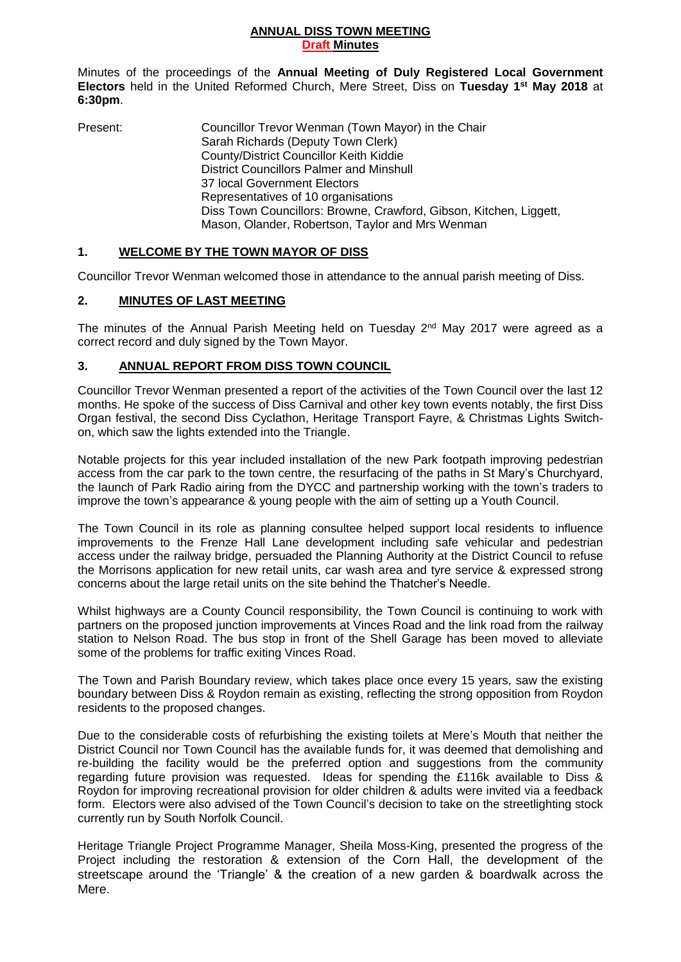#### **ANNUAL DISS TOWN MEETING Draft Minutes**

Minutes of the proceedings of the **Annual Meeting of Duly Registered Local Government Electors** held in the United Reformed Church, Mere Street, Diss on **Tuesday 1 st May 2018** at **6:30pm**.

Present: Councillor Trevor Wenman (Town Mayor) in the Chair Sarah Richards (Deputy Town Clerk) County/District Councillor Keith Kiddie District Councillors Palmer and Minshull 37 local Government Electors Representatives of 10 organisations Diss Town Councillors: Browne, Crawford, Gibson, Kitchen, Liggett, Mason, Olander, Robertson, Taylor and Mrs Wenman

# **1. WELCOME BY THE TOWN MAYOR OF DISS**

Councillor Trevor Wenman welcomed those in attendance to the annual parish meeting of Diss.

## **2. MINUTES OF LAST MEETING**

The minutes of the Annual Parish Meeting held on Tuesday 2<sup>nd</sup> May 2017 were agreed as a correct record and duly signed by the Town Mayor.

## **3. ANNUAL REPORT FROM DISS TOWN COUNCIL**

Councillor Trevor Wenman presented a report of the activities of the Town Council over the last 12 months. He spoke of the success of Diss Carnival and other key town events notably, the first Diss Organ festival, the second Diss Cyclathon, Heritage Transport Fayre, & Christmas Lights Switchon, which saw the lights extended into the Triangle.

Notable projects for this year included installation of the new Park footpath improving pedestrian access from the car park to the town centre, the resurfacing of the paths in St Mary's Churchyard, the launch of Park Radio airing from the DYCC and partnership working with the town's traders to improve the town's appearance & young people with the aim of setting up a Youth Council.

The Town Council in its role as planning consultee helped support local residents to influence improvements to the Frenze Hall Lane development including safe vehicular and pedestrian access under the railway bridge, persuaded the Planning Authority at the District Council to refuse the Morrisons application for new retail units, car wash area and tyre service & expressed strong concerns about the large retail units on the site behind the Thatcher's Needle.

Whilst highways are a County Council responsibility, the Town Council is continuing to work with partners on the proposed junction improvements at Vinces Road and the link road from the railway station to Nelson Road. The bus stop in front of the Shell Garage has been moved to alleviate some of the problems for traffic exiting Vinces Road.

The Town and Parish Boundary review, which takes place once every 15 years, saw the existing boundary between Diss & Roydon remain as existing, reflecting the strong opposition from Roydon residents to the proposed changes.

Due to the considerable costs of refurbishing the existing toilets at Mere's Mouth that neither the District Council nor Town Council has the available funds for, it was deemed that demolishing and re-building the facility would be the preferred option and suggestions from the community regarding future provision was requested. Ideas for spending the £116k available to Diss & Roydon for improving recreational provision for older children & adults were invited via a feedback form. Electors were also advised of the Town Council's decision to take on the streetlighting stock currently run by South Norfolk Council.

Heritage Triangle Project Programme Manager, Sheila Moss-King, presented the progress of the Project including the restoration & extension of the Corn Hall, the development of the streetscape around the 'Triangle' & the creation of a new garden & boardwalk across the Mere.